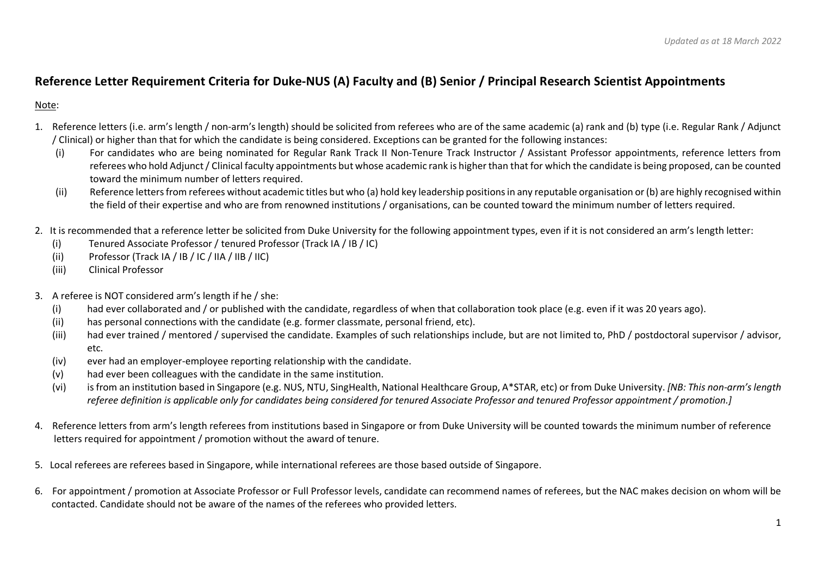## **Reference Letter Requirement Criteria for Duke-NUS (A) Faculty and (B) Senior / Principal Research Scientist Appointments**

Note:

- 1. Reference letters (i.e. arm's length / non-arm's length) should be solicited from referees who are of the same academic (a) rank and (b) type (i.e. Regular Rank / Adjunct / Clinical) or higher than that for which the candidate is being considered. Exceptions can be granted for the following instances:
	- (i) For candidates who are being nominated for Regular Rank Track II Non-Tenure Track Instructor / Assistant Professor appointments, reference letters from referees who hold Adjunct / Clinical faculty appointments but whose academic rank is higher than that for which the candidate is being proposed, can be counted toward the minimum number of letters required.
	- (ii) Reference letters from referees without academic titles but who (a) hold key leadership positions in any reputable organisation or (b) are highly recognised within the field of their expertise and who are from renowned institutions / organisations, can be counted toward the minimum number of letters required.
- 2. It is recommended that a reference letter be solicited from Duke University for the following appointment types, even if it is not considered an arm's length letter:
	- (i) Tenured Associate Professor / tenured Professor (Track IA / IB / IC)
	- (ii) Professor (Track IA / IB / IC / IIA / IIB / IIC)
	- (iii) Clinical Professor
- 3. A referee is NOT considered arm's length if he / she:
	- (i) had ever collaborated and / or published with the candidate, regardless of when that collaboration took place (e.g. even if it was 20 years ago).
	- (ii) has personal connections with the candidate (e.g. former classmate, personal friend, etc).
	- (iii) had ever trained / mentored / supervised the candidate. Examples of such relationships include, but are not limited to, PhD / postdoctoral supervisor / advisor, etc.
	- (iv) ever had an employer-employee reporting relationship with the candidate.
	- (v) had ever been colleagues with the candidate in the same institution.
	- (vi) is from an institution based in Singapore (e.g. NUS, NTU, SingHealth, National Healthcare Group, A\*STAR, etc) or from Duke University. *[NB: This non-arm's length referee definition is applicable only for candidates being considered for tenured Associate Professor and tenured Professor appointment / promotion.]*
- 4. Reference letters from arm's length referees from institutions based in Singapore or from Duke University will be counted towards the minimum number of reference letters required for appointment / promotion without the award of tenure.
- 5. Local referees are referees based in Singapore, while international referees are those based outside of Singapore.
- 6. For appointment / promotion at Associate Professor or Full Professor levels, candidate can recommend names of referees, but the NAC makes decision on whom will be contacted. Candidate should not be aware of the names of the referees who provided letters.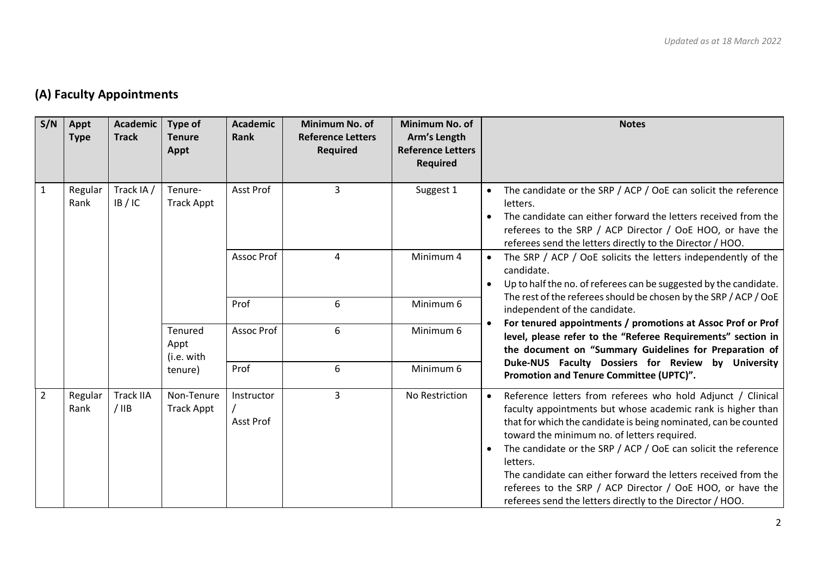## **(A) Faculty Appointments**

| S/N            | Appt<br><b>Type</b> | <b>Academic</b><br><b>Track</b> | Type of<br><b>Tenure</b><br>Appt | <b>Academic</b><br>Rank | Minimum No. of<br><b>Reference Letters</b><br><b>Required</b> | Minimum No. of<br>Arm's Length<br><b>Reference Letters</b><br><b>Required</b>                     | <b>Notes</b>                                                                                                                                                                                                                                                                                                                                                                                                                                                                                                           |
|----------------|---------------------|---------------------------------|----------------------------------|-------------------------|---------------------------------------------------------------|---------------------------------------------------------------------------------------------------|------------------------------------------------------------------------------------------------------------------------------------------------------------------------------------------------------------------------------------------------------------------------------------------------------------------------------------------------------------------------------------------------------------------------------------------------------------------------------------------------------------------------|
| $\mathbf{1}$   | Regular<br>Rank     | Track IA /<br>IB/IC             | Tenure-<br><b>Track Appt</b>     | Asst Prof               | 3                                                             | Suggest 1                                                                                         | The candidate or the SRP / ACP / OoE can solicit the reference<br>letters.<br>The candidate can either forward the letters received from the<br>referees to the SRP / ACP Director / OoE HOO, or have the<br>referees send the letters directly to the Director / HOO.                                                                                                                                                                                                                                                 |
|                |                     |                                 |                                  | Assoc Prof              | 4                                                             | Minimum 4                                                                                         | The SRP / ACP / OoE solicits the letters independently of the<br>candidate.<br>Up to half the no. of referees can be suggested by the candidate.                                                                                                                                                                                                                                                                                                                                                                       |
|                |                     |                                 |                                  | Prof<br>6<br>Minimum 6  |                                                               | The rest of the referees should be chosen by the SRP / ACP / OoE<br>independent of the candidate. |                                                                                                                                                                                                                                                                                                                                                                                                                                                                                                                        |
|                |                     |                                 | Tenured<br>Appt<br>(i.e. with    | Assoc Prof              | 6                                                             | Minimum 6                                                                                         | For tenured appointments / promotions at Assoc Prof or Prof<br>level, please refer to the "Referee Requirements" section in<br>the document on "Summary Guidelines for Preparation of                                                                                                                                                                                                                                                                                                                                  |
|                |                     |                                 | tenure)                          | Prof                    | 6                                                             | Minimum 6                                                                                         | Duke-NUS Faculty Dossiers for Review by University<br>Promotion and Tenure Committee (UPTC)".                                                                                                                                                                                                                                                                                                                                                                                                                          |
| $\overline{2}$ | Regular<br>Rank     | <b>Track IIA</b><br>$/$ IIB     | Non-Tenure<br><b>Track Appt</b>  | Instructor<br>Asst Prof | 3                                                             | No Restriction                                                                                    | Reference letters from referees who hold Adjunct / Clinical<br>faculty appointments but whose academic rank is higher than<br>that for which the candidate is being nominated, can be counted<br>toward the minimum no. of letters required.<br>The candidate or the SRP / ACP / OoE can solicit the reference<br>letters.<br>The candidate can either forward the letters received from the<br>referees to the SRP / ACP Director / OoE HOO, or have the<br>referees send the letters directly to the Director / HOO. |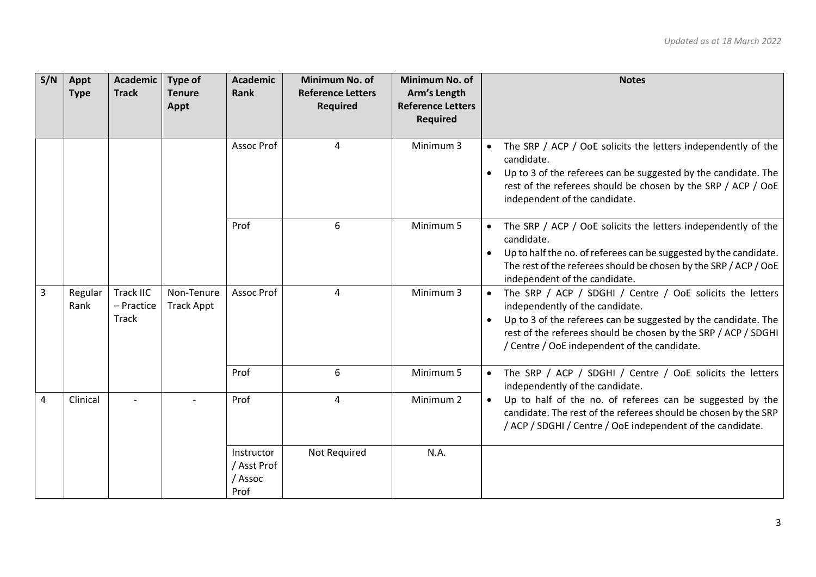| S/N            | Appt<br><b>Type</b> | <b>Academic</b><br><b>Track</b>  | <b>Type of</b><br><b>Tenure</b><br>Appt | <b>Academic</b><br><b>Rank</b>               | Minimum No. of<br><b>Reference Letters</b><br><b>Required</b> | Minimum No. of<br>Arm's Length<br><b>Reference Letters</b><br><b>Required</b> | <b>Notes</b>                                                                                                                                                                                                                                                                     |
|----------------|---------------------|----------------------------------|-----------------------------------------|----------------------------------------------|---------------------------------------------------------------|-------------------------------------------------------------------------------|----------------------------------------------------------------------------------------------------------------------------------------------------------------------------------------------------------------------------------------------------------------------------------|
|                |                     |                                  |                                         | <b>Assoc Prof</b>                            | 4                                                             | Minimum 3                                                                     | The SRP / ACP / OoE solicits the letters independently of the<br>candidate.<br>Up to 3 of the referees can be suggested by the candidate. The<br>rest of the referees should be chosen by the SRP / ACP / OoE<br>independent of the candidate.                                   |
|                |                     |                                  |                                         | Prof                                         | 6                                                             | Minimum 5                                                                     | The SRP / ACP / OoE solicits the letters independently of the<br>candidate.<br>Up to half the no. of referees can be suggested by the candidate.<br>The rest of the referees should be chosen by the SRP / ACP / OoE<br>independent of the candidate.                            |
| $\overline{3}$ | Regular<br>Rank     | Track IIC<br>- Practice<br>Track | Non-Tenure<br><b>Track Appt</b>         | <b>Assoc Prof</b>                            | 4                                                             | Minimum 3                                                                     | The SRP / ACP / SDGHI / Centre / OoE solicits the letters<br>independently of the candidate.<br>Up to 3 of the referees can be suggested by the candidate. The<br>rest of the referees should be chosen by the SRP / ACP / SDGHI<br>/ Centre / OoE independent of the candidate. |
|                |                     |                                  |                                         | Prof                                         | 6                                                             | Minimum 5                                                                     | The SRP / ACP / SDGHI / Centre / OoE solicits the letters<br>independently of the candidate.                                                                                                                                                                                     |
| 4              | Clinical            |                                  |                                         | Prof                                         | 4                                                             | Minimum <sub>2</sub>                                                          | Up to half of the no. of referees can be suggested by the<br>candidate. The rest of the referees should be chosen by the SRP<br>/ ACP / SDGHI / Centre / OoE independent of the candidate.                                                                                       |
|                |                     |                                  |                                         | Instructor<br>/ Asst Prof<br>/ Assoc<br>Prof | Not Required                                                  | N.A.                                                                          |                                                                                                                                                                                                                                                                                  |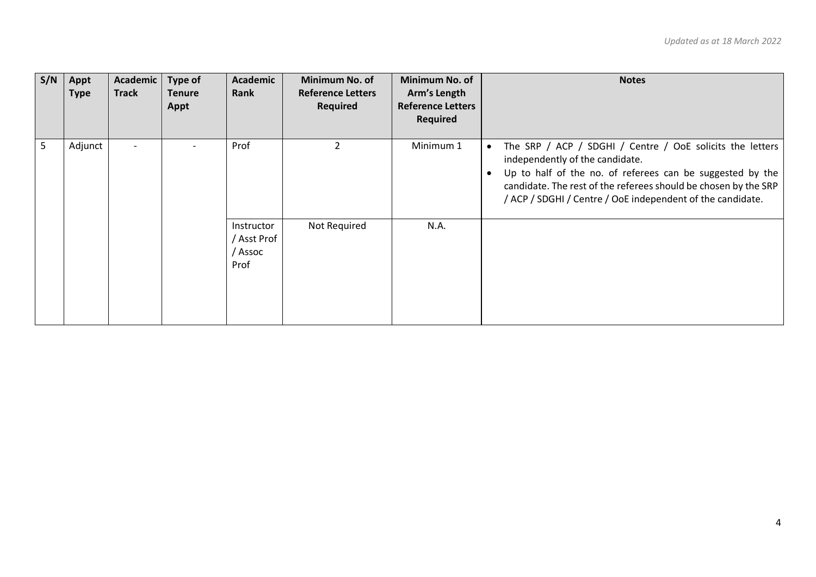| S/N | Appt<br><b>Type</b> | Academic<br><b>Track</b> | Type of<br><b>Tenure</b><br>Appt | <b>Academic</b><br>Rank                      | Minimum No. of<br><b>Reference Letters</b><br><b>Required</b> | Minimum No. of<br>Arm's Length<br><b>Reference Letters</b><br><b>Required</b> | <b>Notes</b>                                                                                                                                                                                                                                                                                                         |
|-----|---------------------|--------------------------|----------------------------------|----------------------------------------------|---------------------------------------------------------------|-------------------------------------------------------------------------------|----------------------------------------------------------------------------------------------------------------------------------------------------------------------------------------------------------------------------------------------------------------------------------------------------------------------|
| 5   | Adjunct             |                          |                                  | Prof                                         | 2                                                             | Minimum 1                                                                     | The SRP / ACP / SDGHI / Centre / OoE solicits the letters<br>$\bullet$<br>independently of the candidate.<br>Up to half of the no. of referees can be suggested by the<br>$\bullet$<br>candidate. The rest of the referees should be chosen by the SRP<br>/ ACP / SDGHI / Centre / OoE independent of the candidate. |
|     |                     |                          |                                  | Instructor<br>/ Asst Prof<br>/ Assoc<br>Prof | Not Required                                                  | N.A.                                                                          |                                                                                                                                                                                                                                                                                                                      |